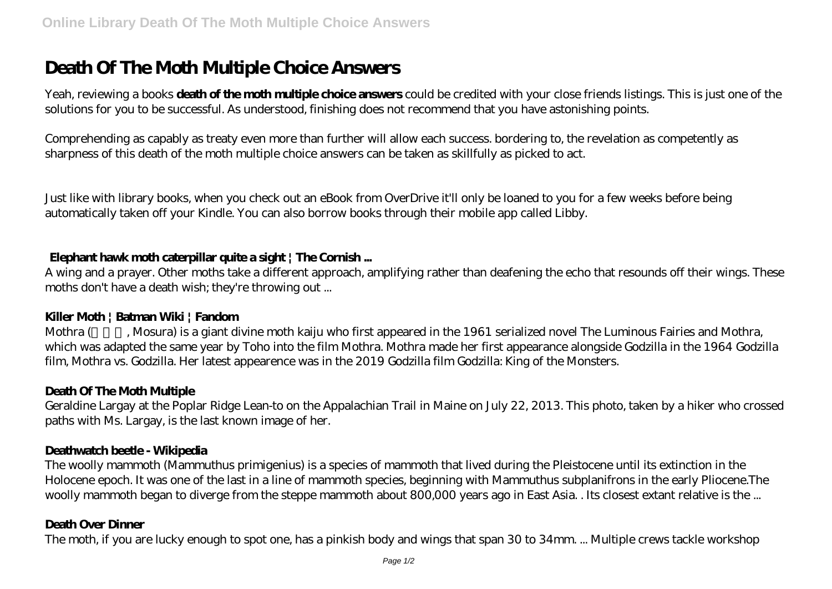# **Death Of The Moth Multiple Choice Answers**

Yeah, reviewing a books **death of the moth multiple choice answers** could be credited with your close friends listings. This is just one of the solutions for you to be successful. As understood, finishing does not recommend that you have astonishing points.

Comprehending as capably as treaty even more than further will allow each success. bordering to, the revelation as competently as sharpness of this death of the moth multiple choice answers can be taken as skillfully as picked to act.

Just like with library books, when you check out an eBook from OverDrive it'll only be loaned to you for a few weeks before being automatically taken off your Kindle. You can also borrow books through their mobile app called Libby.

#### **Elephant hawk moth caterpillar quite a sight | The Cornish ...**

A wing and a prayer. Other moths take a different approach, amplifying rather than deafening the echo that resounds off their wings. These moths don't have a death wish; they're throwing out ...

#### **Killer Moth | Batman Wiki | Fandom**

Mothra (Mosura) is a giant divine moth kaiju who first appeared in the 1961 serialized novel The Luminous Fairies and Mothra, which was adapted the same year by Toho into the film Mothra. Mothra made her first appearance alongside Godzilla in the 1964 Godzilla film, Mothra vs. Godzilla. Her latest appearence was in the 2019 Godzilla film Godzilla: King of the Monsters.

## **Death Of The Moth Multiple**

Geraldine Largay at the Poplar Ridge Lean-to on the Appalachian Trail in Maine on July 22, 2013. This photo, taken by a hiker who crossed paths with Ms. Largay, is the last known image of her.

#### **Deathwatch beetle - Wikipedia**

The woolly mammoth (Mammuthus primigenius) is a species of mammoth that lived during the Pleistocene until its extinction in the Holocene epoch. It was one of the last in a line of mammoth species, beginning with Mammuthus subplanifrons in the early Pliocene.The woolly mammoth began to diverge from the steppe mammoth about 800,000 years ago in East Asia. . Its closest extant relative is the ...

## **Death Over Dinner**

The moth, if you are lucky enough to spot one, has a pinkish body and wings that span 30 to 34mm. ... Multiple crews tackle workshop